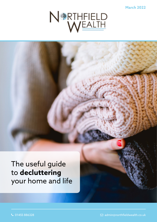**March 2022**



# The useful guide to **decluttering** your home and life

 $\sim$  01455 886328  $\sim$  01455 886328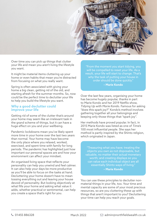

Over time you can pick up things that clutter your life and mean you aren't living the lifestyle you want.

It might be material items cluttering up your home or even habits that mean you're distracted from focusing on what you really want.

Spring is often associated with giving your home a big clean, getting rid of the old, and starting afresh for the summer months. So, now could be the perfect time to declutter your life to help you build the lifestyle you want.

#### **Why a good declutter could improve your life**

Getting rid of some of the clutter that's around your home may seem like an irrelevant task in the grand scheme of things, but it can have a huge effect on you and your wellbeing.

Pandemic lockdowns mean you've likely spent more time in your home over the last two years than normal. Your home may have become the only place where you relaxed, worked, exercised, and spent time with family for long periods. The pandemic has highlighted just how important our personal spaces are and how your environment can affect your mindset.

An organised living space that reflects your personality can help you unwind and feel calmer. It can also help your days be more productive as you'll be able to focus on the tasks at hand. Decluttering your home doesn't have to mean tossing everything out and leaving your house devoid of personality. But looking objectively at what fills your home and asking what value it adds, whether practical or sentimental, can help you create a space that's right for you.

"From the moment you start tidying, you will be compelled to reset your life. As a result, your life will start to change. That's why the task of putting your house in order should be done quickly." **– Marie Kondo**

Over the last few years, organising your home has become hugely popular, thanks in part

to Marie Kondo and her 2019 Netflix show, *Tidying Up with Marie Kondo*. Famous for asking "does this spark joy?" Kondo's method involves gathering together all your belongings and keeping only those things that "spark joy".

Her methods have proved popular. In fact, in 2015 Marie Kondo was listed as one of *Time's* 100 most influential people. She says her method is partly inspired by the Shinto religion, which originated in Japan.

"Treasuring what you have; treating the objects you own as not disposable, but valuable, no matter their actual monetary worth; and creating displays so you can value each individual object are all essentially Shinto ways of living." **– Marie Kondo**

You can use these principles to declutter nonmaterial things in your life, too. Your time and mental capacity are some of your most precious resources, so are you cluttering these up with things that aren't important to you? Decluttering your time can help you reach your goals.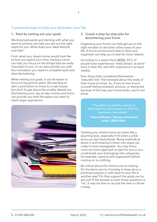## **7 practical steps to help you declutter your life**

#### **1. Start by setting out your goals**

Working backwards and starting with what you want to achieve can help you set out the right steps for you. What does your ideal lifestyle look like?

From what your dream home would look like to how you spend your time, having a vision can help you focus on the things that are really important to you. It can also provide you with the motivation you need to complete tasks and start decluttering.

When setting out goals, it can be easier to focus on big picture plans, like wanting to earn a promotion or move to a new house, but don't forget about the smaller details too. Decluttering your day-to-day routine and home can provide you with the space you need to reach larger aspirations.



#### **2. Create a step-by-step plan for decluttering your home**

Organising your home can help get you in the right mindset to declutter other areas of your life. A home environment that is clean and organised can help you to feel far more relaxed.

According to a report from [APDO,](https://www.apdo.co.uk/blog-messy-home-stressy-home-research/) 82% of people have experienced "mess stress" at some time in their life, and 44% experience it at least weekly.

Even those that considered themselves "naturally tidy" feel stressed about the state of their home at times. So, if you've ever found yourself feeling stressed, anxious, or distracted because of the way your home looks, you're not alone.

> "The ability to simplify means to eliminate the unnecessary so that the necessary may speak."

**– Hans Hofmann, German-American artist, 1880-1966** 

Tackling your whole home can seem like a daunting task, especially if it's been a while since you last decluttered. Being methodical about it and breaking it down into steps can make it more manageable. You may find a room-by-room approach is right for you or you could break your belongings into categories, for example, starting with paperwork before moving on to clothing.

Be critical about the choices you're making. Do the items you're choosing to keep serve a practical purpose or add value to your life in another way? Do they support the goals you've set out? If the answer to both those questions is "no", it may be time to recycle the item or throw it away.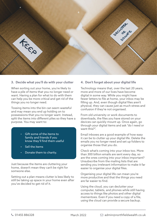

#### **3. Decide what you'll do with your clutter**

When sorting out your home, you're likely to have a pile of items that you no longer need or want. Having a plan for what to do with them can help you be more critical and get rid of the things you no longer need.

Tossing items into the bin can seem wasteful and may mean you end up holding on to possessions that you no longer want. Instead, split the items into different piles so they have a purpose. You may want to:

- Gift some of the items to family and friends if you know they'll find them useful
- Sell the items
- Donate them to charity.

Just because the items are cluttering your home, doesn't mean they can't be right for someone else.

Setting out a plan means clutter is less likely to still be taking up space in your home even after you've decided to get rid of it.

#### **4. Don't forget about your digital life**

Technology means that, over the last 20 years, more and more of our lives have become digital in some way. While you might have fewer letters to file at home, your inbox may be filling up. And, even though digital files aren't physical, they can cause just as much stress and confusion if they're not organised.

From old university or work documents to downloads, the files you have stored on your devices can quickly mount up. Once again, go through your digital items and ask "do I need or want this?".

Email inboxes are a good example of how easy it can be to clutter up your digital life. Delete the emails you no longer need and set up folders to organise those that you do.

Check what's coming into your inbox too. More than 300 billion emails are sent every day, so are the ones coming into your inbox important? Unsubscribe from the mailing lists that are sending you irrelevant information to make it far easier to organise your digital files.

Organising your digital life can mean you're more productive and that the things you need are far easier to find.

Using the cloud, you can declutter your computer, tablets, and phones while still having access to things like photos and other digital mementoes. Even if you need a copy of a file, using the cloud can provide a secure backup.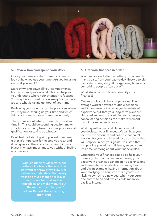

#### **5. Review how you spend your days**

Once your items are decluttered, it's time to look at how you use your time. Are you focusing on what you want?

Start by writing down all your commitments, both work and professional. This can help you to understand where your attention is focused. You may be surprised by how many things there are and what is taking up most of your time.

Reviewing your calendar can help you see where you may be cluttering up your time and which things you can cut down or remove entirely.

Then, think about what you want to invest your time in. This could be spending quality time with your family, working towards a new professional qualification, or taking up a hobby.

Don't feel bad about giving yourself free time either. It's important for helping you relax and it can give you the space to try new things or invest in what's important to you without feeling any pressure.

> "Oh! Old rubbish! Old letters, old clothes, old objects that one does not want to throw away. How well nature has understood that, every year, she must change her leaves, her flowers, her fruit and her vegetables, and make manure out of the mementos of her year!"

**– Jules Renard, French author, 1864-1910** 

#### **6. Get your finances in order**

Your finances will affect whether you can reach many goals, from your day-to-day lifestyle to big plans like retiring early. But organising finance is something people often put off.

What steps can you take to simplify your finances?

One example could be your pensions. The average worker now has multiple pensions and it can mean not only do you have lots of paperwork, but that your long-term plans are cluttered and unorganised. For some people, consolidating pensions can make retirement planning simpler and clearer.

Working with a financial planner can help you declutter your finances. We can help you identify the accounts and policies that aren't working for you, and instead focus on those that will help you reach your goals. It's a step that can provide you with confidence, so you spend less time worrying about your financial plan.

Organising your finances could also help your money go further. For instance, having your paperwork organised can mean it's easier to find and remember when deals are coming to an end. As an example, having information about your mortgage to hand can mean you're more likely to switch to a new deal when your current one comes to an end, which could mean you pay less interest.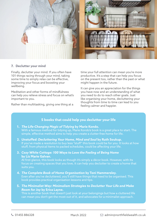

### **7. Declutter your mind**

Finally, declutter your mind. If you often have 101 things racing through your mind, taking some time to simply relax can be effective, improving your focus and boosting your wellbeing.

Meditation and other forms of mindfulness can help you relieve stress and focus on what's important to you.

Rather than multitasking, giving one thing at a

time your full attention can mean you're more productive. It's a step that can help you focus on the present too, rather than the past or what might happen in the future.

It can give you an appreciation for the things you have now and an understanding of what you need to do to reach other goals. Just like organising your home, decluttering your thoughts from time to time can lead to you feeling calmer and happier.

## **5 books that could help you declutter your life**

- **1.** *The Life-Changing Magic of Tidying* **by Marie Kondo.**  With a famous method for tidying up, Marie Kondo's book is a great place to start. The simple, effective method aims to help you create a clutter-free home for life.
- **2.** *Unstuffed: Decluttering Your Home, Mind and Soul* **by Ruth Soukup.**  If you've made a resolution to buy less "stuff" this book could be for you. It looks at how stuff, from physical items to packed schedules, could be affecting your life.
- **3.** *Cozy White Cottage: 100 Ways to Love the Feeling of Being Home* **by Liz Marie Galvan.**

At first glance, this book looks as though it's simply a décor book. However, with its focus on creating spaces that you love, it can help you declutter to create a home that suits you.

- **4.** *The Complete Book of Home Organisation* **by Toni Hammersley.**  Even after you've decluttered, you'll still have things that need to be organised. This book provides practical organisation lessons and tips.
- **5.** *The Minimalist Way: Minimalism Strategies to Declutter Your Life and Make Room for Joy* **by Erica Layne.**

This is another book that doesn't just look at your belongings but how a cluttered life can mean you don't get the most out of it, and advocates for a minimalist approach.